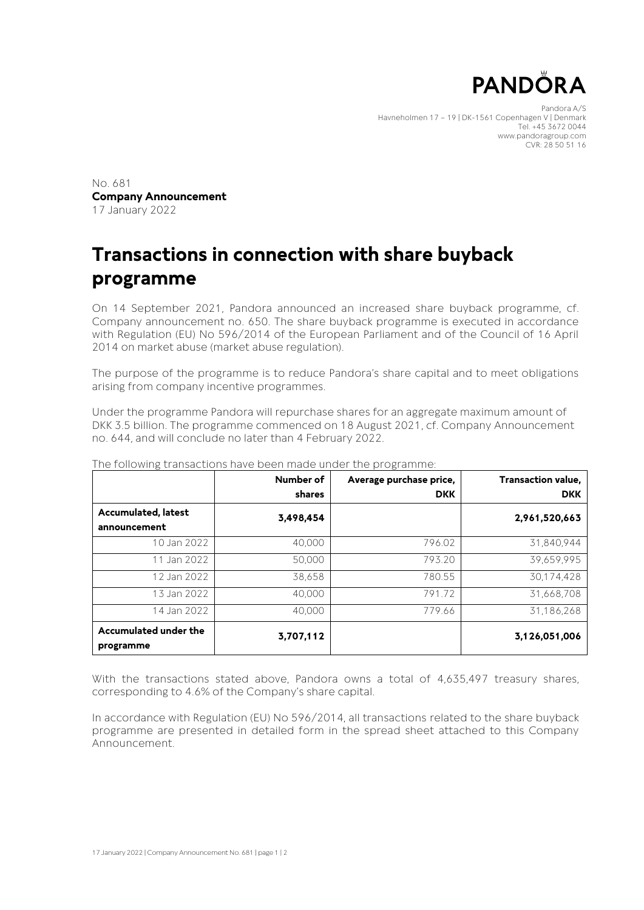

Pandora A/S Havneholmen 17 – 19 | DK-1561 Copenhagen V | Denmark Tel. +45 3672 0044 www.pandoragroup.com CVR: 28 50 51 16

No. 681 **Company Announcement** 17 January 2022

## **Transactions in connection with share buyback programme**

On 14 September 2021, Pandora announced an increased share buyback programme, cf. Company announcement no. 650. The share buyback programme is executed in accordance with Regulation (EU) No 596/2014 of the European Parliament and of the Council of 16 April 2014 on market abuse (market abuse regulation).

The purpose of the programme is to reduce Pandora's share capital and to meet obligations arising from company incentive programmes.

Under the programme Pandora will repurchase shares for an aggregate maximum amount of DKK 3.5 billion. The programme commenced on 18 August 2021, cf. Company Announcement no. 644, and will conclude no later than 4 February 2022.

|                                     | Number of<br>shares | Average purchase price,<br><b>DKK</b> | Transaction value,<br><b>DKK</b> |
|-------------------------------------|---------------------|---------------------------------------|----------------------------------|
| Accumulated, latest<br>announcement | 3,498,454           |                                       | 2,961,520,663                    |
| 10 Jan 2022                         | 40,000              | 796.02                                | 31.840.944                       |
| 11 Jan 2022                         | 50,000              | 793.20                                | 39,659,995                       |
| 12 Jan 2022                         | 38,658              | 780.55                                | 30,174,428                       |
| 13 Jan 2022                         | 40,000              | 791.72                                | 31,668,708                       |
| 14 Jan 2022                         | 40.000              | 779.66                                | 31,186,268                       |
| Accumulated under the<br>programme  | 3,707,112           |                                       | 3,126,051,006                    |

The following transactions have been made under the programme:

With the transactions stated above, Pandora owns a total of 4,635,497 treasury shares, corresponding to 4.6% of the Company's share capital.

In accordance with Regulation (EU) No 596/2014, all transactions related to the share buyback programme are presented in detailed form in the spread sheet attached to this Company Announcement.